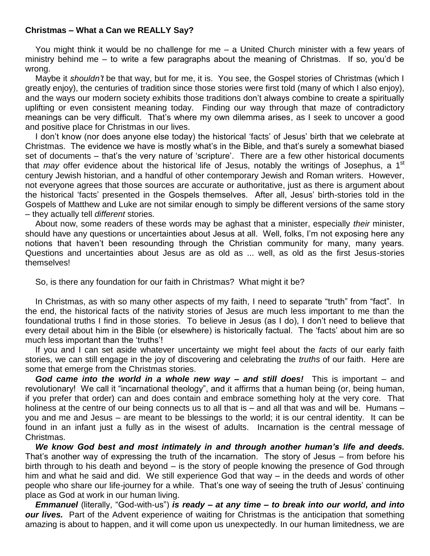## **Christmas – What a Can we REALLY Say?**

You might think it would be no challenge for me – a United Church minister with a few years of ministry behind me – to write a few paragraphs about the meaning of Christmas. If so, you'd be wrong.

Maybe it *shouldn't* be that way, but for me, it is. You see, the Gospel stories of Christmas (which I greatly enjoy), the centuries of tradition since those stories were first told (many of which I also enjoy), and the ways our modern society exhibits those traditions don't always combine to create a spiritually uplifting or even consistent meaning today. Finding our way through that maze of contradictory meanings can be very difficult. That's where my own dilemma arises, as I seek to uncover a good and positive place for Christmas in our lives.

I don't know (nor does anyone else today) the historical 'facts' of Jesus' birth that we celebrate at Christmas. The evidence we have is mostly what's in the Bible, and that's surely a somewhat biased set of documents – that's the very nature of 'scripture'. There are a few other historical documents that *may* offer evidence about the historical life of Jesus, notably the writings of Josephus, a 1<sup>st</sup> century Jewish historian, and a handful of other contemporary Jewish and Roman writers. However, not everyone agrees that those sources are accurate or authoritative, just as there is argument about the historical 'facts' presented in the Gospels themselves. After all, Jesus' birth-stories told in the Gospels of Matthew and Luke are not similar enough to simply be different versions of the same story – they actually tell *different* stories.

About now, some readers of these words may be aghast that a minister, especially *their* minister, should have any questions or uncertainties about Jesus at all. Well, folks, I'm not exposing here any notions that haven't been resounding through the Christian community for many, many years. Questions and uncertainties about Jesus are as old as ... well, as old as the first Jesus-stories themselves!

So, is there any foundation for our faith in Christmas? What might it be?

In Christmas, as with so many other aspects of my faith, I need to separate "truth" from "fact". In the end, the historical facts of the nativity stories of Jesus are much less important to me than the foundational truths I find in those stories. To believe in Jesus (as I do), I don't need to believe that every detail about him in the Bible (or elsewhere) is historically factual. The 'facts' about him are so much less important than the 'truths'!

If you and I can set aside whatever uncertainty we might feel about the *facts* of our early faith stories, we can still engage in the joy of discovering and celebrating the *truths* of our faith. Here are some that emerge from the Christmas stories.

*God came into the world in a whole new way – and still does!* This is important – and revolutionary! We call it "incarnational theology", and it affirms that a human being (or, being human, if you prefer that order) can and does contain and embrace something holy at the very core. That holiness at the centre of our being connects us to all that is – and all that was and will be. Humans – you and me and Jesus – are meant to be blessings to the world; it is our central identity. It can be found in an infant just a fully as in the wisest of adults. Incarnation is the central message of Christmas.

*We know God best and most intimately in and through another human's life and deeds.* That's another way of expressing the truth of the incarnation. The story of Jesus – from before his birth through to his death and beyond – is the story of people knowing the presence of God through him and what he said and did. We still experience God that way – in the deeds and words of other people who share our life-journey for a while. That's one way of seeing the truth of Jesus' continuing place as God at work in our human living.

*Emmanuel* (literally, "God-with-us") *is ready – at any time – to break into our world, and into our lives.* Part of the Advent experience of waiting for Christmas is the anticipation that something amazing is about to happen, and it will come upon us unexpectedly. In our human limitedness, we are